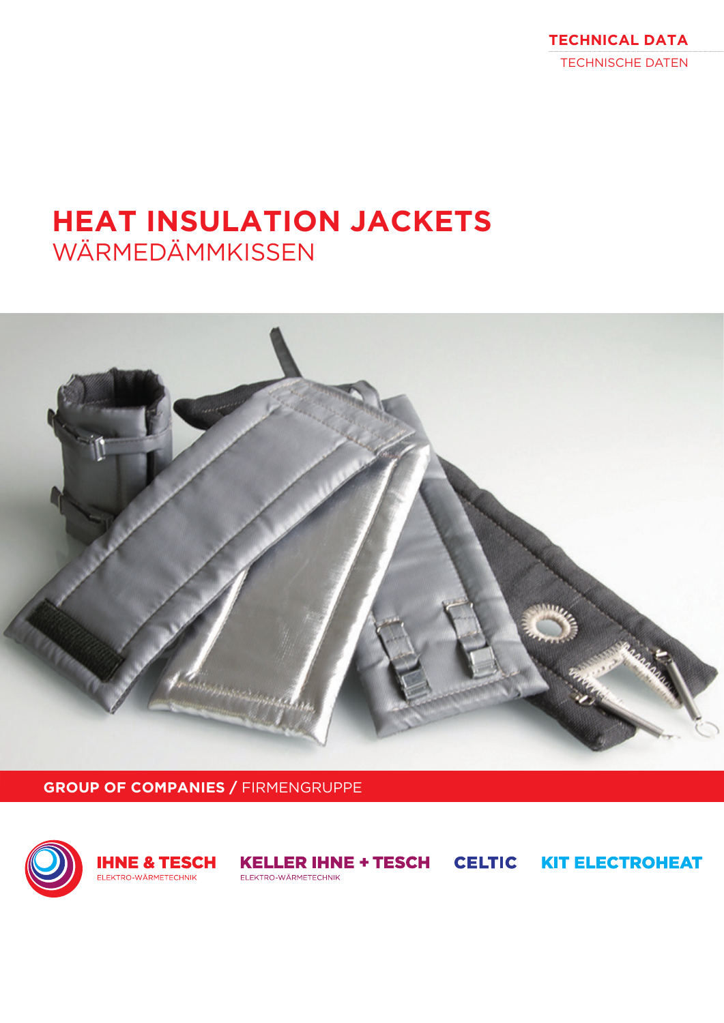**TECHNICAL DATA** TECHNISCHE DATEN

# **HEAT INSULATION JACKETS** WÄRMEDÄMMKISSEN



**GROUP OF COMPANIES /** FIRMENGRUPPE





**KELLER IHNE + TESCH CELTIC KIT ELECTROHEAT** ELEKTRO-WÄRMETECHNIK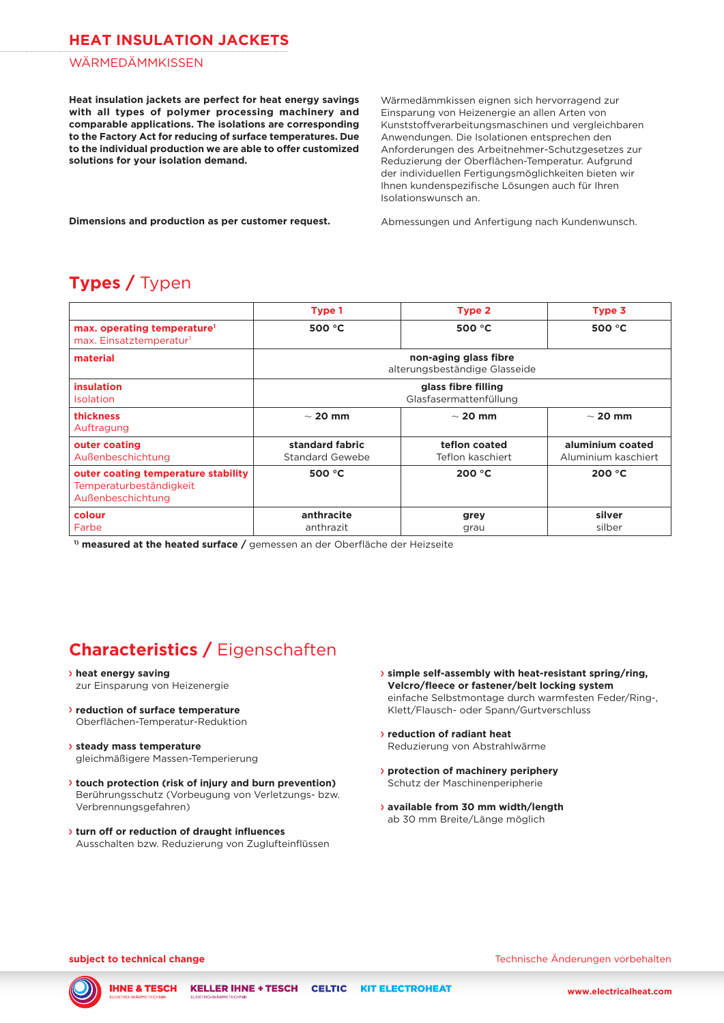### **HEAT INSULATION JACKETS**

#### WÄRMEDÄMMKISSEN

**Heat insulation jackets are perfect for heat energy savings with all types of polymer processing machinery and comparable applications. The isolations are corresponding to the Factory Act for reducing of surface temperatures. Due to the individual production we are able to offer customized solutions for your isolation demand.**

Wärmedämmkissen eignen sich hervorragend zur Einsparung von Heizenergie an allen Arten von Kunststoffverarbeitungsmaschinen und vergleichbaren Anwendungen. Die Isolationen entsprechen den Anforderungen des Arbeitnehmer-Schutzgesetzes zur Reduzierung der Oberflächen-Temperatur. Aufgrund der individuellen Fertigungsmöglichkeiten bieten wir Ihnen kundenspezifische Lösungen auch für Ihren Isolationswunsch an.

**Dimensions and production as per customer request.**

Abmessungen und Anfertigung nach Kundenwunsch.

### **Types /** Typen

|                                                                                     | Type 1                                                 | Type 2                            | Type 3                                  |
|-------------------------------------------------------------------------------------|--------------------------------------------------------|-----------------------------------|-----------------------------------------|
| max. operating temperature <sup>1</sup><br>max. Einsatztemperatur <sup>1</sup>      | 500 °C                                                 | 500 $°C$                          | 500 $°C$                                |
| material                                                                            | non-aging glass fibre<br>alterungsbeständige Glasseide |                                   |                                         |
| <b>insulation</b><br>Isolation                                                      | glass fibre filling<br>Glasfasermattenfüllung          |                                   |                                         |
| thickness<br>Auftragung                                                             | $\sim$ 20 mm                                           | $\sim$ 20 mm                      | $\sim$ 20 mm                            |
| outer coating<br>Außenbeschichtung                                                  | standard fabric<br><b>Standard Gewebe</b>              | teflon coated<br>Teflon kaschiert | aluminium coated<br>Aluminium kaschiert |
| outer coating temperature stability<br>Temperaturbeständigkeit<br>Außenbeschichtung | 500 $\degree$ C                                        | 200 °C                            | 200 °C                                  |
| colour<br>Farbe                                                                     | anthracite<br>anthrazit                                | grey<br>grau                      | silver<br>silber                        |

**1) measured at the heated surface /** gemessen an der Oberfläche der Heizseite

### **Characteristics /** Eigenschaften

- **<sup>&</sup>gt; heat energy saving**
- zur Einsparung von Heizenergie
- **<sup>&</sup>gt; reduction of surface temperature** Oberflächen-Temperatur-Reduktion
- **<sup>&</sup>gt; steady mass temperature** gleichmäßigere Massen-Temperierung
- **<sup>&</sup>gt; touch protection (risk of injury and burn prevention)** Berührungsschutz (Vorbeugung von Verletzungs- bzw. Verbrennungsgefahren)
- **<sup>&</sup>gt; turn off or reduction of draught influences** Ausschalten bzw. Reduzierung von Zuglufteinflüssen
- **<sup>&</sup>gt; simple self-assembly with heat-resistant spring/ring, Velcro/fleece or fastener/belt locking system** einfache Selbstmontage durch warmfesten Feder/Ring-, Klett/Flausch- oder Spann/Gurtverschluss
- **<sup>&</sup>gt; reduction of radiant heat** Reduzierung von Abstrahlwärme
- **<sup>&</sup>gt; protection of machinery periphery** Schutz der Maschinenperipherie
- **<sup>&</sup>gt; available from 30 mm width/length**  ab 30 mm Breite/Länge möglich

**subject to technical change** Technische Änderungen vorbehalten

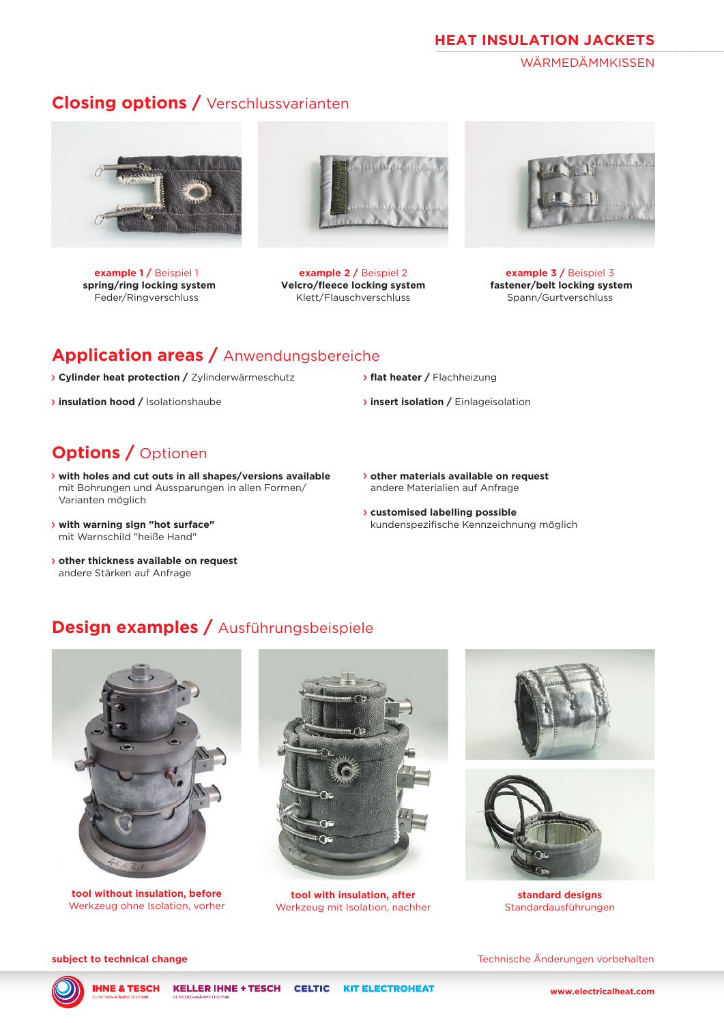#### **HEAT INSULATION JACKETS**

**WÄRMFDÄMMKISSEN** 

### **Closing options /** Verschlussvarianten



**example 1 /** Beispiel 1  **spring/ring locking system** Feder/Ringverschluss



**example 2 /** Beispiel 2 **Velcro/fleece locking system** Klett/Flauschverschluss



**example 3 /** Beispiel 3 **fastener/belt locking system** Spann/Gurtverschluss

### **Application areas /** Anwendungsbereiche

- **<sup>&</sup>gt; Cylinder heat protection /** Zylinderwärmeschutz
- **<sup>&</sup>gt; insulation hood /** Isolationshaube

### **Options /** Optionen

- **<sup>&</sup>gt; with holes and cut outs in all shapes/versions available** mit Bohrungen und Aussparungen in allen Formen/ Varianten möglich
- **<sup>&</sup>gt; with warning sign "hot surface"** mit Warnschild "heiße Hand"
- **<sup>&</sup>gt; other thickness available on request** andere Stärken auf Anfrage
- **<sup>&</sup>gt; flat heater /** Flachheizung
- **<sup>&</sup>gt; insert isolation /** Einlageisolation
- **<sup>&</sup>gt; other materials available on request** andere Materialien auf Anfrage
- **<sup>&</sup>gt; customised labelling possible** kundenspezifische Kennzeichnung möglich

### **Design examples /** Ausführungsbeispiele



**tool without insulation, before** Werkzeug ohne Isolation, vorher



**tool with insulation, after** Werkzeug mit Isolation, nachher





**standard designs** Standardausführungen

**subject to technical change** Technische Änderungen vorbehalten